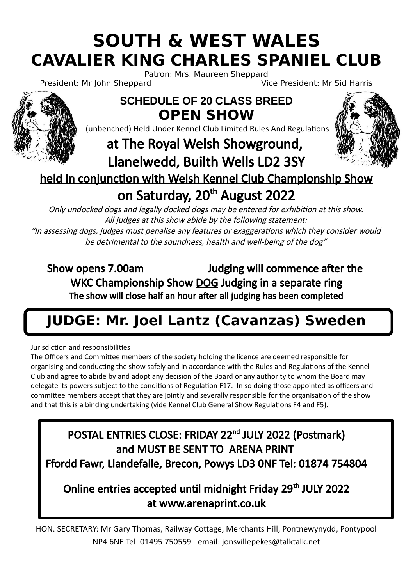# **SOUTH & WEST WALES CAVALIER KING CHARLES SPANIEL CLUB**

Patron: Mrs. Maureen Sheppard<br>Vi<br>Vi

Vice President: Mr Sid Harris



**OPEN SHOW** (unbenched) Held Under Kennel Club Limited Rules And Regulations

**SCHEDULE OF 20 CLASS BREED**

## at The Royal Welsh Showground, Llanelwedd, Builth Wells LD2 3SY



### held in conjunction with Welsh Kennel Club Championship Show on Saturday, 20<sup>th</sup> August 2022

Only undocked dogs and legally docked dogs may be entered for exhibition at this show. All judges at this show abide by the following statement:

"In assessing dogs, judges must penalise any features or exaggerations which they consider would be detrimental to the soundness, health and well-being of the dog"

Show opens 7.00am Judging will commence after the WKC Championship Show DOG Judging in a separate ring The show will close half an hour after all judging has been completed

## **JUDGE: Mr. Joel Lantz (Cavanzas) Sweden**

Jurisdiction and responsibilities

The Officers and Committee members of the society holding the licence are deemed responsible for organising and conducting the show safely and in accordance with the Rules and Regulations of the Kennel Club and agree to abide by and adopt any decision of the Board or any authority to whom the Board may delegate its powers subject to the conditions of Regulation F17. In so doing those appointed as officers and committee members accept that they are jointly and severally responsible for the organisation of the show and that this is a binding undertaking (vide Kennel Club General Show Regulations F4 and F5).

### POSTAL ENTRIES CLOSE: FRIDAY 22nd JULY 2022 (Postmark) and MUST BE SENT TO ARENA PRINT Ffordd Fawr, Llandefalle, Brecon, Powys LD3 0NF Tel: 01874 754804

### Online entries accepted until midnight Friday 29<sup>th</sup> JULY 2022 at www.arenaprint.co.uk

HON. SECRETARY: Mr Gary Thomas, Railway Cottage, Merchants Hill, Pontnewynydd, Pontypool NP4 6NE Tel: 01495 750559 email: jonsvillepekes@talktalk.net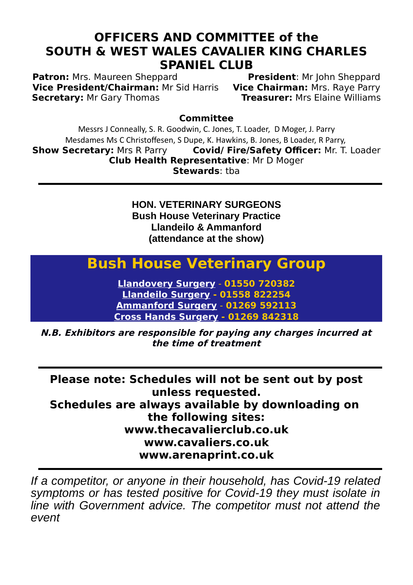#### **OFFICERS AND COMMITTEE of the SOUTH & WEST WALES CAVALIER KING CHARLES SPANIEL CLUB**

**Patron:** Mrs. Maureen Sheppard **President**: Mr John Sheppard **Vice President/Chairman:** Mrs. Rave Parry **Vice President/Chairman:** Mr Sid Harris **Vice Chairman:** Mrs. Raye Parry **Secretary: Mr Gary Thomas** 

**Committee**

Messrs J Conneally, S. R. Goodwin, C. Jones, T. Loader, D Moger, J. Parry Mesdames Ms C Christoffesen, S Dupe, K. Hawkins, B. Jones, B Loader, R Parry,<br>
Show Secretary: Mrs R Parry Covid/ Fire/Safety Officer: Mr. T. **Covid/ Fire/Safety Officer:** Mr. T. Loader **Club Health Representative**: Mr D Moger **Stewards**: tba

> **HON. VETERINARY SURGEONS Bush House Veterinary Practice Llandeilo & Ammanford (attendance at the show)**

## **Bush House Veterinary Group**

**[Llandovery Surgery](http://www.bushhousevetgroup.co.uk/branches/llandovery/)** - **01550 720382 [Llandeilo Surgery](http://www.bushhousevetgroup.co.uk/branches/llandeilo/) - 01558 822254 [Ammanford Surgery](http://www.bushhousevetgroup.co.uk/branches/ammanford/)** - **01269 592113 [Cross Hands Surgery](http://www.bushhousevetgroup.co.uk/branches/cross-hands/) - 01269 842318**

**N.B. Exhibitors are responsible for paying any charges incurred at the time of treatment**

**Please note: Schedules will not be sent out by post unless requested. Schedules are always available by downloading on the following sites: www.thecavalierclub.co.uk www.cavaliers.co.uk www.arenaprint.co.uk**

*If a competitor, or anyone in their household, has Covid-19 related symptoms or has tested positive for Covid-19 they must isolate in line with Government advice. The competitor must not attend the event*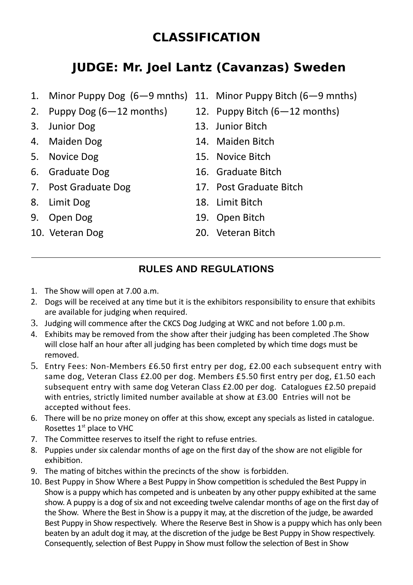### **CLASSIFICATION**

### **JUDGE: Mr. Joel Lantz (Cavanzas) Sweden**

- 1. Minor Puppy Dog (6—9 mnths) 11. Minor Puppy Bitch (6—9 mnths)
- 2. Puppy Dog  $(6-12 \text{ months})$  12. Puppy Bitch  $(6-12 \text{ months})$
- 
- 
- 
- 
- 
- 
- 
- 
- -
- 3. Junior Dog 13. Junior Bitch
- 4. Maiden Dog 14. Maiden Bitch
- 5. Novice Dog 15. Novice Bitch
- 6. Graduate Dog 16. Graduate Bitch
- 7. Post Graduate Dog 17. Post Graduate Bitch
- 8. Limit Dog 18. Limit Bitch
- 9. Open Dog 19. Open Bitch
- 10. Veteran Dog 20. Veteran Bitch

#### **RULES AND REGULATIONS**

- 1. The Show will open at 7.00 a.m.
- 2. Dogs will be received at any time but it is the exhibitors responsibility to ensure that exhibits are available for judging when required.
- 3. Judging will commence after the CKCS Dog Judging at WKC and not before 1.00 p.m.
- 4. Exhibits may be removed from the show after their judging has been completed .The Show will close half an hour after all judging has been completed by which time dogs must be removed.
- 5. Entry Fees: Non-Members £6.50 first entry per dog, £2.00 each subsequent entry with same dog, Veteran Class £2.00 per dog. Members £5.50 first entry per dog, £1.50 each subsequent entry with same dog Veteran Class £2.00 per dog. Catalogues £2.50 prepaid with entries, strictly limited number available at show at £3.00 Entries will not be accepted without fees.
- 6. There will be no prize money on offer at this show, except any specials as listed in catalogue. Rosettes 1<sup>st</sup> place to VHC
- 7. The Committee reserves to itself the right to refuse entries.
- 8. Puppies under six calendar months of age on the first day of the show are not eligible for exhibition.
- 9. The mating of bitches within the precincts of the show is forbidden.
- 10. Best Puppy in Show Where a Best Puppy in Show competition is scheduled the Best Puppy in Show is a puppy which has competed and is unbeaten by any other puppy exhibited at the same show. A puppy is a dog of six and not exceeding twelve calendar months of age on the first day of the Show. Where the Best in Show is a puppy it may, at the discretion of the judge, be awarded Best Puppy in Show respectively. Where the Reserve Best in Show is a puppy which has only been beaten by an adult dog it may, at the discretion of the judge be Best Puppy in Show respectively. Consequently, selection of Best Puppy in Show must follow the selection of Best in Show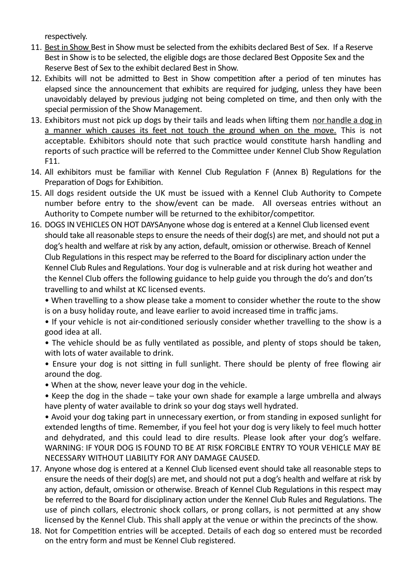respectively.

- 11. Best in Show Best in Show must be selected from the exhibits declared Best of Sex. If a Reserve Best in Show is to be selected, the eligible dogs are those declared Best Opposite Sex and the Reserve Best of Sex to the exhibit declared Best in Show.
- 12. Exhibits will not be admitted to Best in Show competition after a period of ten minutes has elapsed since the announcement that exhibits are required for judging, unless they have been unavoidably delayed by previous judging not being completed on time, and then only with the special permission of the Show Management.
- 13. Exhibitors must not pick up dogs by their tails and leads when lifting them nor handle a dog in a manner which causes its feet not touch the ground when on the move. This is not acceptable. Exhibitors should note that such practice would constitute harsh handling and reports of such practice will be referred to the Committee under Kennel Club Show Regulation F11.
- 14. All exhibitors must be familiar with Kennel Club Regulation F (Annex B) Regulations for the Preparation of Dogs for Exhibition.
- 15. All dogs resident outside the UK must be issued with a Kennel Club Authority to Compete number before entry to the show/event can be made. All overseas entries without an Authority to Compete number will be returned to the exhibitor/competitor.
- 16. DOGS IN VEHICLES ON HOT DAYSAnyone whose dog is entered at a Kennel Club licensed event should take all reasonable steps to ensure the needs of their dog(s) are met, and should not put a dog's health and welfare at risk by any action, default, omission or otherwise. Breach of Kennel Club Regulations in this respect may be referred to the Board for disciplinary action under the Kennel Club Rules and Regulations. Your dog is vulnerable and at risk during hot weather and the Kennel Club offers the following guidance to help guide you through the do's and don'ts travelling to and whilst at KC licensed events.
	- When travelling to a show please take a moment to consider whether the route to the show is on a busy holiday route, and leave earlier to avoid increased time in traffic jams.

• If your vehicle is not air-conditioned seriously consider whether travelling to the show is a good idea at all.

• The vehicle should be as fully ventilated as possible, and plenty of stops should be taken, with lots of water available to drink.

• Ensure your dog is not sitting in full sunlight. There should be plenty of free flowing air around the dog.

- When at the show, never leave your dog in the vehicle.
- Keep the dog in the shade take your own shade for example a large umbrella and always have plenty of water available to drink so your dog stays well hydrated.

• Avoid your dog taking part in unnecessary exertion, or from standing in exposed sunlight for extended lengths of time. Remember, if you feel hot your dog is very likely to feel much hotter and dehydrated, and this could lead to dire results. Please look after your dog's welfare. WARNING: IF YOUR DOG IS FOUND TO BE AT RISK FORCIBLE ENTRY TO YOUR VEHICLE MAY BE NECESSARY WITHOUT LIABILITY FOR ANY DAMAGE CAUSED.

- 17. Anyone whose dog is entered at a Kennel Club licensed event should take all reasonable steps to ensure the needs of their dog(s) are met, and should not put a dog's health and welfare at risk by any action, default, omission or otherwise. Breach of Kennel Club Regulations in this respect may be referred to the Board for disciplinary action under the Kennel Club Rules and Regulations. The use of pinch collars, electronic shock collars, or prong collars, is not permitted at any show licensed by the Kennel Club. This shall apply at the venue or within the precincts of the show.
- 18. Not for Competition entries will be accepted. Details of each dog so entered must be recorded on the entry form and must be Kennel Club registered.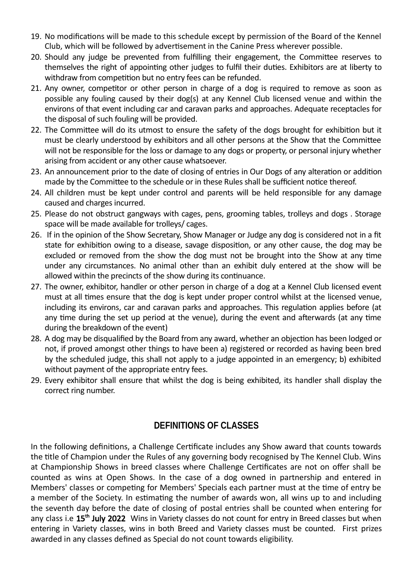- 19. No modifications will be made to this schedule except by permission of the Board of the Kennel Club, which will be followed by advertisement in the Canine Press wherever possible.
- 20. Should any judge be prevented from fulfilling their engagement, the Committee reserves to themselves the right of appointing other judges to fulfil their duties. Exhibitors are at liberty to withdraw from competition but no entry fees can be refunded.
- 21. Any owner, competitor or other person in charge of a dog is required to remove as soon as possible any fouling caused by their dog(s) at any Kennel Club licensed venue and within the environs of that event including car and caravan parks and approaches. Adequate receptacles for the disposal of such fouling will be provided.
- 22. The Committee will do its utmost to ensure the safety of the dogs brought for exhibition but it must be clearly understood by exhibitors and all other persons at the Show that the Committee will not be responsible for the loss or damage to any dogs or property, or personal injury whether arising from accident or any other cause whatsoever.
- 23. An announcement prior to the date of closing of entries in Our Dogs of any alteration or addition made by the Committee to the schedule or in these Rules shall be sufficient notice thereof.
- 24. All children must be kept under control and parents will be held responsible for any damage caused and charges incurred.
- 25. Please do not obstruct gangways with cages, pens, grooming tables, trolleys and dogs . Storage space will be made available for trolleys/ cages.
- 26. If in the opinion of the Show Secretary, Show Manager or Judge any dog is considered not in a fit state for exhibition owing to a disease, savage disposition, or any other cause, the dog may be excluded or removed from the show the dog must not be brought into the Show at any time under any circumstances. No animal other than an exhibit duly entered at the show will be allowed within the precincts of the show during its continuance.
- 27. The owner, exhibitor, handler or other person in charge of a dog at a Kennel Club licensed event must at all times ensure that the dog is kept under proper control whilst at the licensed venue, including its environs, car and caravan parks and approaches. This regulation applies before (at any time during the set up period at the venue), during the event and afterwards (at any time during the breakdown of the event)
- 28. A dog may be disqualified by the Board from any award, whether an objection has been lodged or not, if proved amongst other things to have been a) registered or recorded as having been bred by the scheduled judge, this shall not apply to a judge appointed in an emergency; b) exhibited without payment of the appropriate entry fees.
- 29. Every exhibitor shall ensure that whilst the dog is being exhibited, its handler shall display the correct ring number.

#### **DEFINITIONS OF CLASSES**

In the following definitions, a Challenge Certificate includes any Show award that counts towards the title of Champion under the Rules of any governing body recognised by The Kennel Club. Wins at Championship Shows in breed classes where Challenge Certificates are not on offer shall be counted as wins at Open Shows. In the case of a dog owned in partnership and entered in Members' classes or competing for Members' Specials each partner must at the time of entry be a member of the Society. In estimating the number of awards won, all wins up to and including the seventh day before the date of closing of postal entries shall be counted when entering for any class i.e 15<sup>th</sup> July 2022 Wins in Variety classes do not count for entry in Breed classes but when entering in Variety classes, wins in both Breed and Variety classes must be counted. First prizes awarded in any classes defined as Special do not count towards eligibility.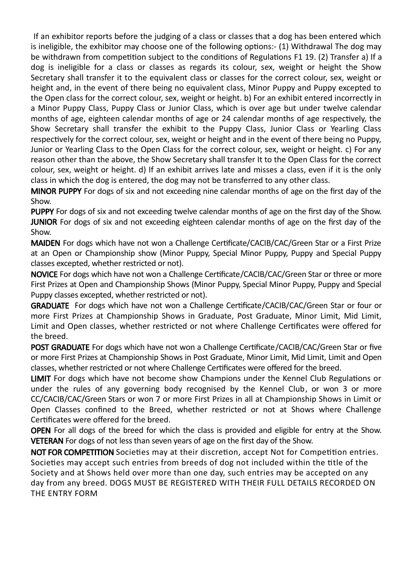If an exhibitor reports before the judging of a class or classes that a dog has been entered which is ineligible, the exhibitor may choose one of the following options:- (1) Withdrawal The dog may be withdrawn from competition subject to the conditions of Regulations F1 19. (2) Transfer a) If a dog is ineligible for a class or classes as regards its colour, sex, weight or height the Show Secretary shall transfer it to the equivalent class or classes for the correct colour, sex, weight or height and, in the event of there being no equivalent class, Minor Puppy and Puppy excepted to the Open class for the correct colour, sex, weight or height. b) For an exhibit entered incorrectly in a Minor Puppy Class, Puppy Class or Junior Class, which is over age but under twelve calendar months of age, eighteen calendar months of age or 24 calendar months of age respectively, the Show Secretary shall transfer the exhibit to the Puppy Class, Junior Class or Yearling Class respectively for the correct colour, sex, weight or height and in the event of there being no Puppy, Junior or Yearling Class to the Open Class for the correct colour, sex, weight or height. c) For any reason other than the above, the Show Secretary shall transfer It to the Open Class for the correct colour, sex, weight or height. d) If an exhibit arrives late and misses a class, even if it is the only class in which the dog is entered, the dog may not be transferred to any other class.

MINOR PUPPY For dogs of six and not exceeding nine calendar months of age on the first day of the Show.

PUPPY For dogs of six and not exceeding twelve calendar months of age on the first day of the Show. **JUNIOR** For dogs of six and not exceeding eighteen calendar months of age on the first day of the Show.

MAIDEN For dogs which have not won a Challenge Certificate/CACIB/CAC/Green Star or a First Prize at an Open or Championship show (Minor Puppy, Special Minor Puppy, Puppy and Special Puppy classes excepted, whether restricted or not).

NOVICE For dogs which have not won a Challenge Certificate/CACIB/CAC/Green Star or three or more First Prizes at Open and Championship Shows (Minor Puppy, Special Minor Puppy, Puppy and Special Puppy classes excepted, whether restricted or not).

GRADUATE For dogs which have not won a Challenge Certificate/CACIB/CAC/Green Star or four or more First Prizes at Championship Shows in Graduate, Post Graduate, Minor Limit, Mid Limit, Limit and Open classes, whether restricted or not where Challenge Certificates were offered for the breed.

POST GRADUATE For dogs which have not won a Challenge Certificate/CACIB/CAC/Green Star or five or more First Prizes at Championship Shows in Post Graduate, Minor Limit, Mid Limit, Limit and Open classes, whether restricted or not where Challenge Certificates were offered for the breed.

LIMIT For dogs which have not become show Champions under the Kennel Club Regulations or under the rules of any governing body recognised by the Kennel Club, or won 3 or more CC/CACIB/CAC/Green Stars or won 7 or more First Prizes in all at Championship Shows in Limit or Open Classes confined to the Breed, whether restricted or not at Shows where Challenge Certificates were offered for the breed.

OPEN For all dogs of the breed for which the class is provided and eligible for entry at the Show. VETERAN For dogs of not less than seven years of age on the first day of the Show.

NOT FOR COMPETITION Societies may at their discretion, accept Not for Competition entries. Societies may accept such entries from breeds of dog not included within the title of the Society and at Shows held over more than one day, such entries may be accepted on any day from any breed. DOGS MUST BE REGISTERED WITH THEIR FULL DETAILS RECORDED ON THE ENTRY FORM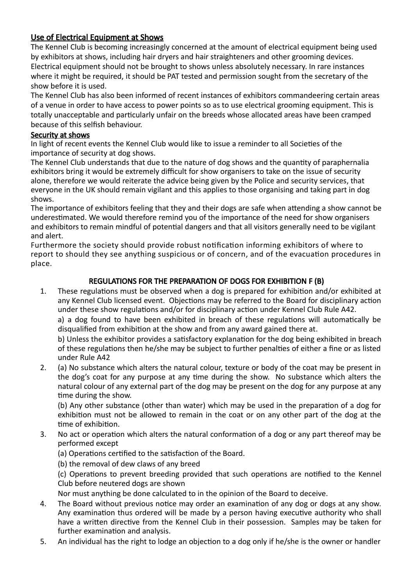#### Use of Electrical Equipment at Shows

The Kennel Club is becoming increasingly concerned at the amount of electrical equipment being used by exhibitors at shows, including hair dryers and hair straighteners and other grooming devices. Electrical equipment should not be brought to shows unless absolutely necessary. In rare instances where it might be required, it should be PAT tested and permission sought from the secretary of the show before it is used.

The Kennel Club has also been informed of recent instances of exhibitors commandeering certain areas of a venue in order to have access to power points so as to use electrical grooming equipment. This is totally unacceptable and particularly unfair on the breeds whose allocated areas have been cramped because of this selfish behaviour.

#### Security at shows

In light of recent events the Kennel Club would like to issue a reminder to all Societies of the importance of security at dog shows.

The Kennel Club understands that due to the nature of dog shows and the quantity of paraphernalia exhibitors bring it would be extremely difficult for show organisers to take on the issue of security alone, therefore we would reiterate the advice being given by the Police and security services, that everyone in the UK should remain vigilant and this applies to those organising and taking part in dog shows.

The importance of exhibitors feeling that they and their dogs are safe when attending a show cannot be underestimated. We would therefore remind you of the importance of the need for show organisers and exhibitors to remain mindful of potential dangers and that all visitors generally need to be vigilant and alert.

Furthermore the society should provide robust notification informing exhibitors of where to report to should they see anything suspicious or of concern, and of the evacuation procedures in place.

#### REGULATIONS FOR THE PREPARATION OF DOGS FOR EXHIBITION F (B)

1. These regulations must be observed when a dog is prepared for exhibition and/or exhibited at any Kennel Club licensed event. Objections may be referred to the Board for disciplinary action under these show regulations and/or for disciplinary action under Kennel Club Rule A42.

a) a dog found to have been exhibited in breach of these regulations will automatically be disqualified from exhibition at the show and from any award gained there at.

b) Unless the exhibitor provides a satisfactory explanation for the dog being exhibited in breach of these regulations then he/she may be subject to further penalties of either a fine or as listed under Rule A42

2. (a) No substance which alters the natural colour, texture or body of the coat may be present in the dog's coat for any purpose at any time during the show. No substance which alters the natural colour of any external part of the dog may be present on the dog for any purpose at any time during the show.

(b) Any other substance (other than water) which may be used in the preparation of a dog for exhibition must not be allowed to remain in the coat or on any other part of the dog at the time of exhibition.

- 3. No act or operation which alters the natural conformation of a dog or any part thereof may be performed except
	- (a) Operations certified to the satisfaction of the Board.
	- (b) the removal of dew claws of any breed

(c) Operations to prevent breeding provided that such operations are notified to the Kennel Club before neutered dogs are shown

Nor must anything be done calculated to in the opinion of the Board to deceive.

- 4. The Board without previous notice may order an examination of any dog or dogs at any show. Any examination thus ordered will be made by a person having executive authority who shall have a written directive from the Kennel Club in their possession. Samples may be taken for further examination and analysis.
- 5. An individual has the right to lodge an objection to a dog only if he/she is the owner or handler